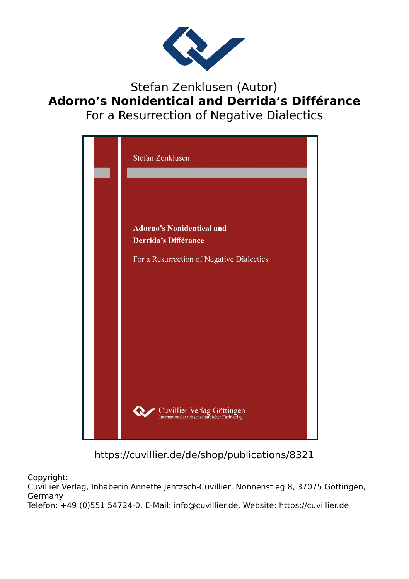

Stefan Zenklusen (Autor) **Adorno's Nonidentical and Derrida's Différance** For a Resurrection of Negative Dialectics



https://cuvillier.de/de/shop/publications/8321

Copyright:

Cuvillier Verlag, Inhaberin Annette Jentzsch-Cuvillier, Nonnenstieg 8, 37075 Göttingen, Germany

Telefon: +49 (0)551 54724-0, E-Mail: info@cuvillier.de, Website: https://cuvillier.de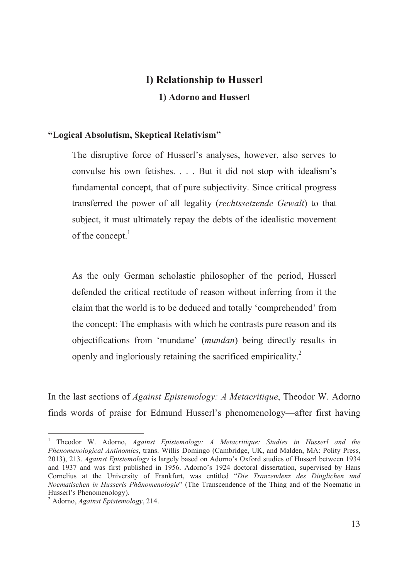## **I) Relationship to Husserl** 1) Adorno and Husserl

## "Logical Absolutism, Skeptical Relativism"

The disruptive force of Husserl's analyses, however, also serves to convulse his own fetishes. . . . But it did not stop with idealism's fundamental concept, that of pure subjectivity. Since critical progress transferred the power of all legality (rechtssetzende Gewalt) to that subject, it must ultimately repay the debts of the idealistic movement of the concept.<sup>1</sup>

As the only German scholastic philosopher of the period, Husserl defended the critical rectitude of reason without inferring from it the claim that the world is to be deduced and totally 'comprehended' from the concept: The emphasis with which he contrasts pure reason and its objectifications from 'mundane' (mundan) being directly results in openly and ingloriously retaining the sacrificed empiricality.<sup>2</sup>

In the last sections of *Against Epistemology: A Metacritique*, Theodor W. Adorno finds words of praise for Edmund Husserl's phenomenology—after first having

<sup>&</sup>lt;sup>1</sup> Theodor W. Adorno, *Against Epistemology: A Metacritique: Studies in Husserl and the* Phenomenological Antinomies, trans. Willis Domingo (Cambridge, UK, and Malden, MA: Polity Press, 2013), 213. Against Epistemology is largely based on Adorno's Oxford studies of Husserl between 1934 and 1937 and was first published in 1956. Adorno's 1924 doctoral dissertation, supervised by Hans Cornelius at the University of Frankfurt, was entitled "Die Tranzendenz des Dinglichen und Noematischen in Husserls Phänomenologie" (The Transcendence of the Thing and of the Noematic in Husserl's Phenomenology).

<sup>&</sup>lt;sup>2</sup> Adorno, *Against Epistemology*, 214.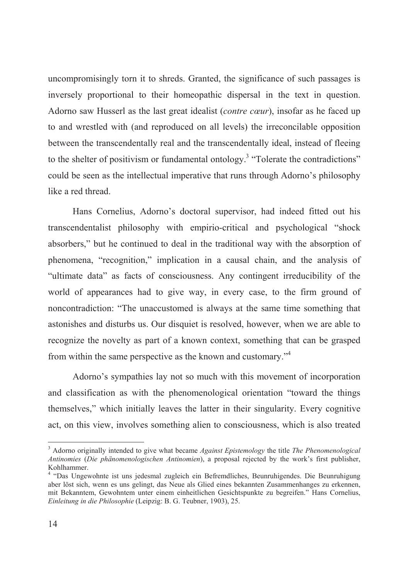uncompromisingly torn it to shreds. Granted, the significance of such passages is inversely proportional to their homeopathic dispersal in the text in question. Adorno saw Husserl as the last great idealist (contre cœur), insofar as he faced up to and wrestled with (and reproduced on all levels) the irreconcilable opposition between the transcendentally real and the transcendentally ideal, instead of fleeing to the shelter of positivism or fundamental ontology.<sup>3</sup> "Tolerate the contradictions" could be seen as the intellectual imperative that runs through Adorno's philosophy like a red thread

Hans Cornelius, Adorno's doctoral supervisor, had indeed fitted out his transcendentalist philosophy with empirio-critical and psychological "shock" absorbers," but he continued to deal in the traditional way with the absorption of phenomena, "recognition," implication in a causal chain, and the analysis of "ultimate data" as facts of consciousness. Any contingent irreducibility of the world of appearances had to give way, in every case, to the firm ground of noncontradiction: "The unaccustomed is always at the same time something that astonishes and disturbs us. Our disquiet is resolved, however, when we are able to recognize the novelty as part of a known context, something that can be grasped from within the same perspective as the known and customary."<sup>4</sup>

Adorno's sympathies lay not so much with this movement of incorporation and classification as with the phenomenological orientation "toward the things" themselves," which initially leaves the latter in their singularity. Every cognitive act, on this view, involves something alien to consciousness, which is also treated

 $3$  Adorno originally intended to give what became *Against Epistemology* the title *The Phenomenological* Antinomies (Die phänomenologischen Antinomien), a proposal rejected by the work's first publisher, Kohlhammer.

<sup>&</sup>lt;sup>4</sup> "Das Ungewohnte ist uns jedesmal zugleich ein Befremdliches, Beunruhigendes. Die Beunruhigung aber löst sich, wenn es uns gelingt, das Neue als Glied eines bekannten Zusammenhanges zu erkennen, mit Bekanntem, Gewohntem unter einem einheitlichen Gesichtspunkte zu begreifen." Hans Cornelius, Einleitung in die Philosophie (Leipzig: B. G. Teubner, 1903), 25.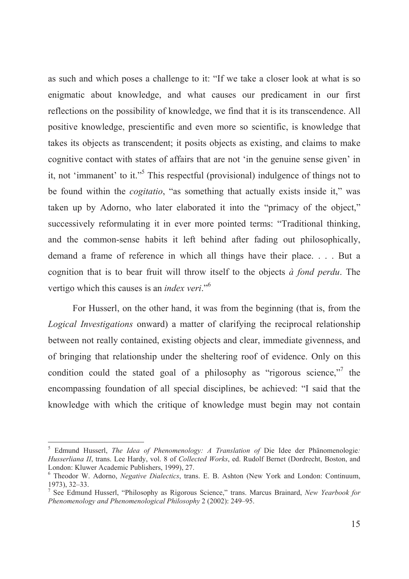as such and which poses a challenge to it: "If we take a closer look at what is so enigmatic about knowledge, and what causes our predicament in our first reflections on the possibility of knowledge, we find that it is its transcendence. All positive knowledge, prescientific and even more so scientific, is knowledge that takes its objects as transcendent; it posits objects as existing, and claims to make cognitive contact with states of affairs that are not 'in the genuine sense given' in it, not 'immanent' to it."<sup>5</sup> This respectful (provisional) indulgence of things not to be found within the *cogitatio*, "as something that actually exists inside it," was taken up by Adorno, who later elaborated it into the "primacy of the object," successively reformulating it in ever more pointed terms: "Traditional thinking, and the common-sense habits it left behind after fading out philosophically, demand a frame of reference in which all things have their place.... But a cognition that is to bear fruit will throw itself to the objects  $\dot{a}$  fond perdu. The vertigo which this causes is an *index veri*."<sup>6</sup>

For Husserl, on the other hand, it was from the beginning (that is, from the *Logical Investigations* onward) a matter of clarifying the reciprocal relationship between not really contained, existing objects and clear, immediate givenness, and of bringing that relationship under the sheltering roof of evidence. Only on this condition could the stated goal of a philosophy as "rigorous science," the encompassing foundation of all special disciplines, be achieved: "I said that the knowledge with which the critique of knowledge must begin may not contain

<sup>&</sup>lt;sup>5</sup> Edmund Husserl, *The Idea of Phenomenology: A Translation of Die Idee der Phänomenologie:* Husserliana II, trans. Lee Hardy, vol. 8 of Collected Works, ed. Rudolf Bernet (Dordrecht, Boston, and London: Kluwer Academic Publishers, 1999), 27.

<sup>&</sup>lt;sup>6</sup> Theodor W. Adorno, *Negative Dialectics*, trans. E. B. Ashton (New York and London: Continuum, 1973), 32-33.

<sup>&</sup>lt;sup>7</sup> See Edmund Husserl, "Philosophy as Rigorous Science," trans. Marcus Brainard, New Yearbook for Phenomenology and Phenomenological Philosophy 2 (2002): 249-95.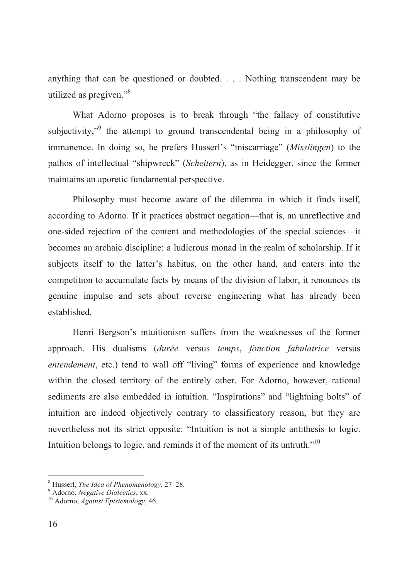anything that can be questioned or doubted.... Nothing transcendent may be utilized as pregiven."<sup>8</sup>

What Adorno proposes is to break through "the fallacy of constitutive subjectivity,"<sup>9</sup> the attempt to ground transcendental being in a philosophy of immanence. In doing so, he prefers Husserl's "miscarriage" (Misslingen) to the pathos of intellectual "shipwreck" (Scheitern), as in Heidegger, since the former maintains an aporetic fundamental perspective.

Philosophy must become aware of the dilemma in which it finds itself, according to Adorno. If it practices abstract negation—that is, an unreflective and one-sided rejection of the content and methodologies of the special sciences—it becomes an archaic discipline: a ludicrous monad in the realm of scholarship. If it subjects itself to the latter's habitus, on the other hand, and enters into the competition to accumulate facts by means of the division of labor, it renounces its genuine impulse and sets about reverse engineering what has already been established

Henri Bergson's intuitionism suffers from the weaknesses of the former approach. His dualisms (durée versus temps, fonction fabulatrice versus entendement, etc.) tend to wall off "living" forms of experience and knowledge within the closed territory of the entirely other. For Adorno, however, rational sediments are also embedded in intuition. "Inspirations" and "lightning bolts" of intuition are indeed objectively contrary to classificatory reason, but they are nevertheless not its strict opposite: "Intuition is not a simple antithesis to logic. Intuition belongs to logic, and reminds it of the moment of its untruth."<sup>10</sup>

Husserl, The Idea of Phenomenology, 27-28.

<sup>&</sup>lt;sup>9</sup> Adorno, Negative Dialectics, xx.

<sup>&</sup>lt;sup>10</sup> Adorno, Against Epistemology, 46.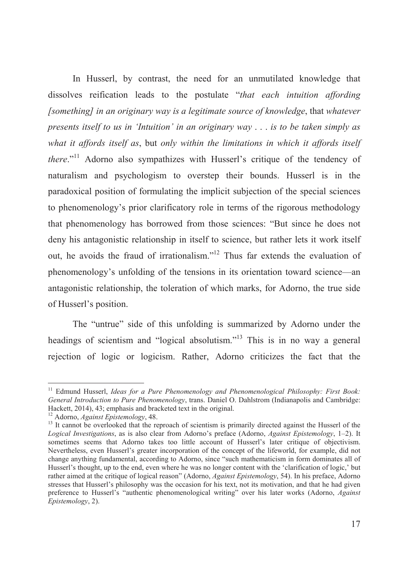In Husserl, by contrast, the need for an unmutilated knowledge that dissolves reification leads to the postulate "that each intuition affording [something] in an originary way is a legitimate source of knowledge, that whatever presents itself to us in 'Intuition' in an originary way  $\ldots$  is to be taken simply as what it affords itself as, but only within the limitations in which it affords itself there."<sup>11</sup> Adorno also sympathizes with Husserl's critique of the tendency of naturalism and psychologism to overstep their bounds. Husserl is in the paradoxical position of formulating the implicit subjection of the special sciences to phenomenology's prior clarificatory role in terms of the rigorous methodology that phenomenology has borrowed from those sciences: "But since he does not deny his antagonistic relationship in itself to science, but rather lets it work itself out, he avoids the fraud of irrationalism."<sup>12</sup> Thus far extends the evaluation of phenomenology's unfolding of the tensions in its orientation toward science—an antagonistic relationship, the toleration of which marks, for Adorno, the true side of Husserl's position.

The "untrue" side of this unfolding is summarized by Adorno under the headings of scientism and "logical absolutism."<sup>13</sup> This is in no way a general rejection of logic or logicism. Rather, Adorno criticizes the fact that the

 $^{11}$  Edmund Husserl, *Ideas for a Pure Phenomenology and Phenomenological Philosophy: First Book:* General Introduction to Pure Phenomenology, trans. Daniel O. Dahlstrom (Indianapolis and Cambridge: Hackett, 2014), 43; emphasis and bracketed text in the original.

<sup>&</sup>lt;sup>12</sup> Adorno, *Against Epistemology*, 48.

<sup>&</sup>lt;sup>13</sup> It cannot be overlooked that the reproach of scientism is primarily directed against the Husserl of the Logical Investigations, as is also clear from Adorno's preface (Adorno, Against Epistemology, 1-2). It sometimes seems that Adorno takes too little account of Husserl's later critique of objectivism. Nevertheless, even Husserl's greater incorporation of the concept of the lifeworld, for example, did not change anything fundamental, according to Adorno, since "such mathematicism in form dominates all of Husserl's thought, up to the end, even where he was no longer content with the 'clarification of logic,' but rather aimed at the critique of logical reason" (Adorno, Against Epistemology, 54). In his preface, Adorno stresses that Husserl's philosophy was the occasion for his text, not its motivation, and that he had given preference to Husserl's "authentic phenomenological writing" over his later works (Adorno, Against Epistemology, 2).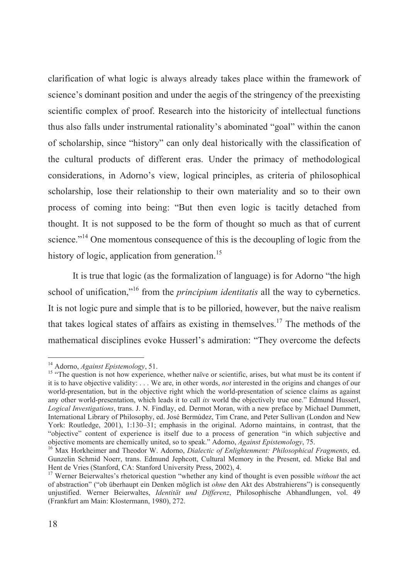clarification of what logic is always already takes place within the framework of science's dominant position and under the aegis of the stringency of the preexisting scientific complex of proof. Research into the historicity of intellectual functions thus also falls under instrumental rationality's abominated "goal" within the canon of scholarship, since "history" can only deal historically with the classification of the cultural products of different eras. Under the primacy of methodological considerations, in Adorno's view, logical principles, as criteria of philosophical scholarship, lose their relationship to their own materiality and so to their own process of coming into being: "But then even logic is tacitly detached from thought. It is not supposed to be the form of thought so much as that of current science."<sup>14</sup> One momentous consequence of this is the decoupling of logic from the history of logic, application from generation.<sup>15</sup>

It is true that logic (as the formalization of language) is for Adorno "the high school of unification,"<sup>16</sup> from the *principium identitatis* all the way to cybernetics. It is not logic pure and simple that is to be pilloried, however, but the naive realism that takes logical states of affairs as existing in themselves.<sup>17</sup> The methods of the mathematical disciplines evoke Husserl's admiration: "They overcome the defects

<sup>&</sup>lt;sup>14</sup> Adorno, *Against Epistemology*, 51.

<sup>&</sup>lt;sup>15</sup> "The question is not how experience, whether naïve or scientific, arises, but what must be its content if it is to have objective validity:  $\dots$  We are, in other words, *not* interested in the origins and changes of our world-presentation, but in the objective right which the world-presentation of science claims as against any other world-presentation, which leads it to call its world the objectively true one." Edmund Husserl, Logical Investigations, trans. J. N. Findlay, ed. Dermot Moran, with a new preface by Michael Dummett, International Library of Philosophy, ed. José Bermúdez, Tim Crane, and Peter Sullivan (London and New York: Routledge, 2001), 1:130-31; emphasis in the original. Adorno maintains, in contrast, that the "objective" content of experience is itself due to a process of generation "in which subjective and objective moments are chemically united, so to speak." Adorno, *Against Epistemology*, 75.

<sup>&</sup>lt;sup>16</sup> Max Horkheimer and Theodor W. Adorno, *Dialectic of Enlightenment*: *Philosophical Fragments*, ed. Gunzelin Schmid Noerr, trans. Edmund Jephcott, Cultural Memory in the Present, ed. Mieke Bal and Hent de Vries (Stanford, CA: Stanford University Press, 2002), 4.

<sup>&</sup>lt;sup>17</sup> Werner Beierwaltes's rhetorical question "whether any kind of thought is even possible without the act of abstraction" ("ob überhaupt ein Denken möglich ist ohne den Akt des Abstrahierens") is consequently unjustified. Werner Beierwaltes, Identität und Differenz, Philosophische Abhandlungen, vol. 49 (Frankfurt am Main: Klostermann, 1980), 272.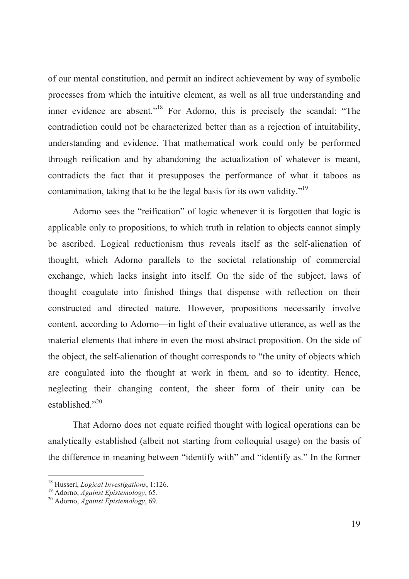of our mental constitution, and permit an indirect achievement by way of symbolic processes from which the intuitive element, as well as all true understanding and inner evidence are absent."<sup>18</sup> For Adorno, this is precisely the scandal: "The contradiction could not be characterized better than as a rejection of intuitability, understanding and evidence. That mathematical work could only be performed through reification and by abandoning the actualization of whatever is meant, contradicts the fact that it presupposes the performance of what it taboos as contamination, taking that to be the legal basis for its own validity."<sup>19</sup>

Adorno sees the "reification" of logic whenever it is forgotten that logic is applicable only to propositions, to which truth in relation to objects cannot simply be ascribed. Logical reductionism thus reveals itself as the self-alienation of thought, which Adorno parallels to the societal relationship of commercial exchange, which lacks insight into itself. On the side of the subject, laws of thought coagulate into finished things that dispense with reflection on their constructed and directed nature. However, propositions necessarily involve content, according to Adorno—in light of their evaluative utterance, as well as the material elements that inhere in even the most abstract proposition. On the side of the object, the self-alienation of thought corresponds to "the unity of objects which are coagulated into the thought at work in them, and so to identity. Hence, neglecting their changing content, the sheer form of their unity can be  $extahlished$ <sup>20</sup>

That Adorno does not equate reified thought with logical operations can be analytically established (albeit not starting from colloquial usage) on the basis of the difference in meaning between "identify with" and "identify as." In the former

<sup>&</sup>lt;sup>18</sup> Husserl, *Logical Investigations*, 1:126.

<sup>&</sup>lt;sup>19</sup> Adorno, *Against Epistemology*, 65.

<sup>&</sup>lt;sup>20</sup> Adorno, Against Epistemology, 69.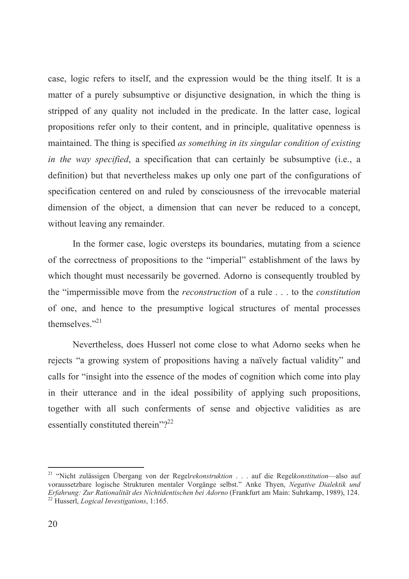case, logic refers to itself, and the expression would be the thing itself. It is a matter of a purely subsumptive or disjunctive designation, in which the thing is stripped of any quality not included in the predicate. In the latter case, logical propositions refer only to their content, and in principle, qualitative openness is maintained. The thing is specified *as something in its singular condition of existing in the way specified*, a specification that can certainly be subsumptive (i.e., a definition) but that nevertheless makes up only one part of the configurations of specification centered on and ruled by consciousness of the irrevocable material dimension of the object, a dimension that can never be reduced to a concept, without leaving any remainder.

In the former case, logic oversteps its boundaries, mutating from a science of the correctness of propositions to the "imperial" establishment of the laws by which thought must necessarily be governed. Adorno is consequently troubled by the "impermissible move from the *reconstruction* of a rule . . . to the *constitution* of one, and hence to the presumptive logical structures of mental processes themselves. $"$ <sup>21</sup>

Nevertheless, does Husserl not come close to what Adorno seeks when he rejects "a growing system of propositions having a naïvely factual validity" and calls for "insight into the essence of the modes of cognition which come into play in their utterance and in the ideal possibility of applying such propositions, together with all such conferments of sense and objective validities as are essentially constituted therein"?<sup>22</sup>

<sup>&</sup>lt;sup>21</sup> "Nicht zulässigen Übergang von der Regelrekonstruktion . . . auf die Regelkonstitution—also auf Voraussetzbare logische Strukturen mentaler Vorgänge selbst." Anke Thyen, Negative Dialektik und *Erfahrung: Zur Rationalität des Nichtidentischen bei Adorno* (Frankfurt am Main: Suhrkamp, 1989), 124.<br><sup>22</sup> Husserl, *Logical Investigations*, 1:165.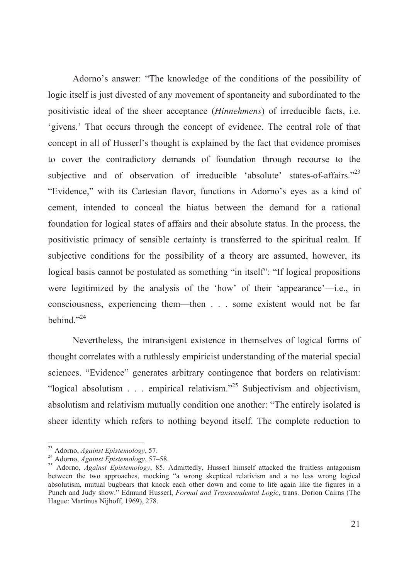Adorno's answer: "The knowledge of the conditions of the possibility of logic itself is just divested of any movement of spontaneity and subordinated to the positivistic ideal of the sheer acceptance (*Hinnehmens*) of irreducible facts, i.e. 'givens.' That occurs through the concept of evidence. The central role of that concept in all of Husserl's thought is explained by the fact that evidence promises to cover the contradictory demands of foundation through recourse to the subjective and of observation of irreducible 'absolute' states-of-affairs."<sup>23</sup> "Evidence," with its Cartesian flavor, functions in Adorno's eyes as a kind of cement, intended to conceal the hiatus between the demand for a rational foundation for logical states of affairs and their absolute status. In the process, the positivistic primacy of sensible certainty is transferred to the spiritual realm. If subjective conditions for the possibility of a theory are assumed, however, its logical basis cannot be postulated as something "in itself": "If logical propositions were legitimized by the analysis of the 'how' of their 'appearance'—i.e., in consciousness, experiencing them—then . . . some existent would not be far behind." $^{24}$ 

Nevertheless, the intransigent existence in themselves of logical forms of thought correlates with a ruthlessly empiricist understanding of the material special sciences. "Evidence" generates arbitrary contingence that borders on relativism: "logical absolutism . . . empirical relativism."<sup>25</sup> Subjectivism and objectivism, absolutism and relativism mutually condition one another: "The entirely isolated is sheer identity which refers to nothing beyond itself. The complete reduction to

<sup>&</sup>lt;sup>23</sup> Adorno, *Against Enistemology*, 57.

<sup>&</sup>lt;sup>24</sup> Adorno, *Against Epistemology*, 57–58.

<sup>&</sup>lt;sup>25</sup> Adorno, *Against Epistemology*, 85. Admittedly, Husserl himself attacked the fruitless antagonism between the two approaches, mocking "a wrong skeptical relativism and a no less wrong logical absolutism, mutual bugbears that knock each other down and come to life again like the figures in a Punch and Judy show." Edmund Husserl, Formal and Transcendental Logic, trans. Dorion Cairns (The Hague: Martinus Nijhoff, 1969), 278.